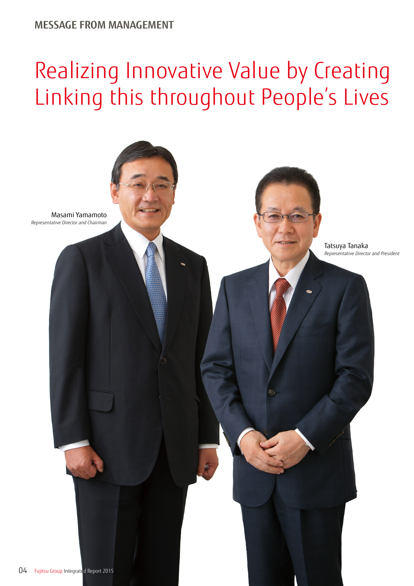## **MESSAGE FROM MANAGEMENT**

## Realizing Innovative Value by Creating Linking this throughout People's Lives